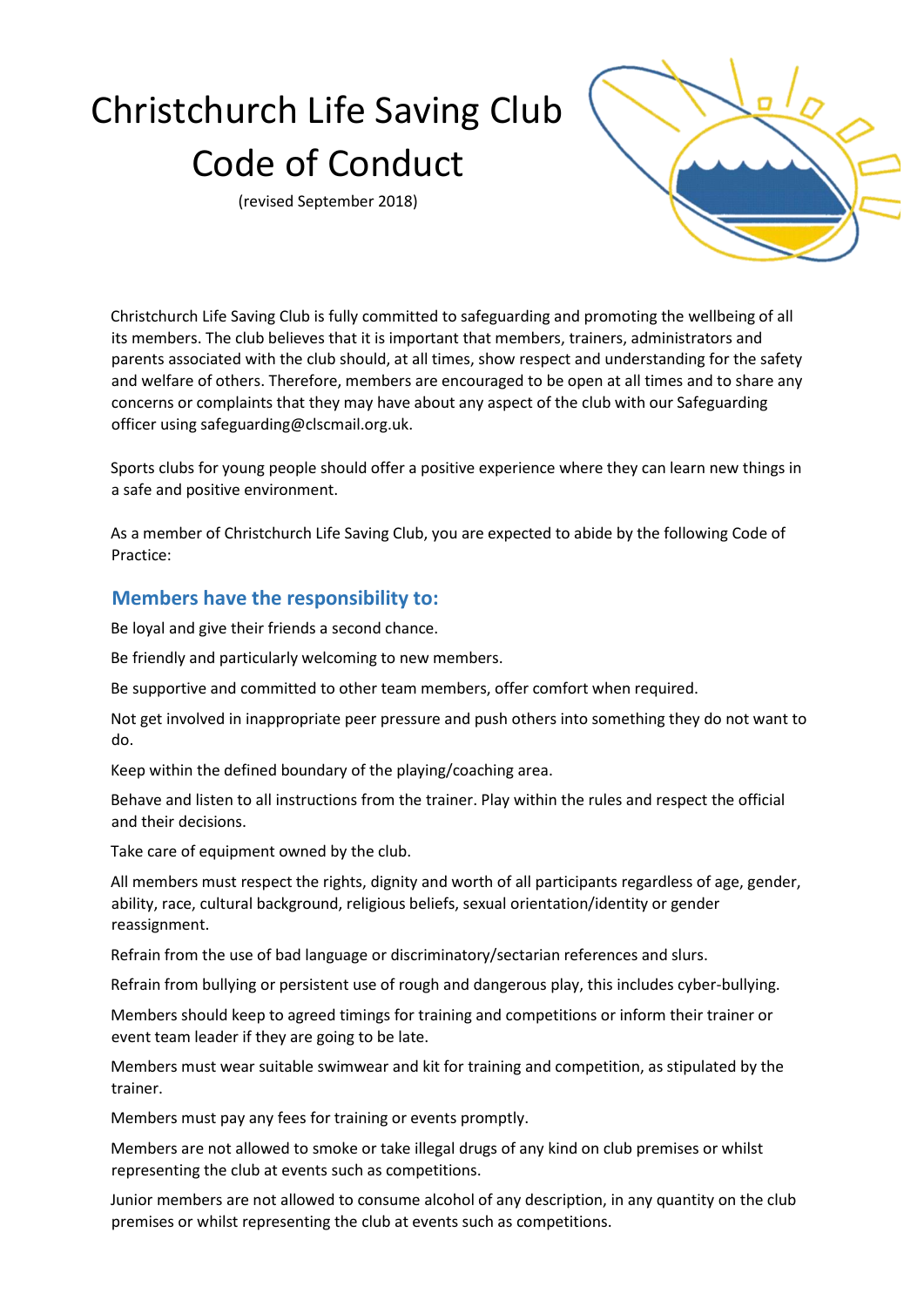# Christchurch Life Saving Club Code of Conduct

(revised September 2018)



Christchurch Life Saving Club is fully committed to safeguarding and promoting the wellbeing of all its members. The club believes that it is important that members, trainers, administrators and parents associated with the club should, at all times, show respect and understanding for the safety and welfare of others. Therefore, members are encouraged to be open at all times and to share any concerns or complaints that they may have about any aspect of the club with our Safeguarding officer using safeguarding@clscmail.org.uk.

Sports clubs for young people should offer a positive experience where they can learn new things in a safe and positive environment.

As a member of Christchurch Life Saving Club, you are expected to abide by the following Code of Practice:

## **Members have the responsibility to:**

Be loyal and give their friends a second chance.

Be friendly and particularly welcoming to new members.

Be supportive and committed to other team members, offer comfort when required.

Not get involved in inappropriate peer pressure and push others into something they do not want to do.

Keep within the defined boundary of the playing/coaching area.

Behave and listen to all instructions from the trainer. Play within the rules and respect the official and their decisions.

Take care of equipment owned by the club.

All members must respect the rights, dignity and worth of all participants regardless of age, gender, ability, race, cultural background, religious beliefs, sexual orientation/identity or gender reassignment.

Refrain from the use of bad language or discriminatory/sectarian references and slurs.

Refrain from bullying or persistent use of rough and dangerous play, this includes cyber-bullying.

Members should keep to agreed timings for training and competitions or inform their trainer or event team leader if they are going to be late.

Members must wear suitable swimwear and kit for training and competition, as stipulated by the trainer.

Members must pay any fees for training or events promptly.

Members are not allowed to smoke or take illegal drugs of any kind on club premises or whilst representing the club at events such as competitions.

Junior members are not allowed to consume alcohol of any description, in any quantity on the club premises or whilst representing the club at events such as competitions.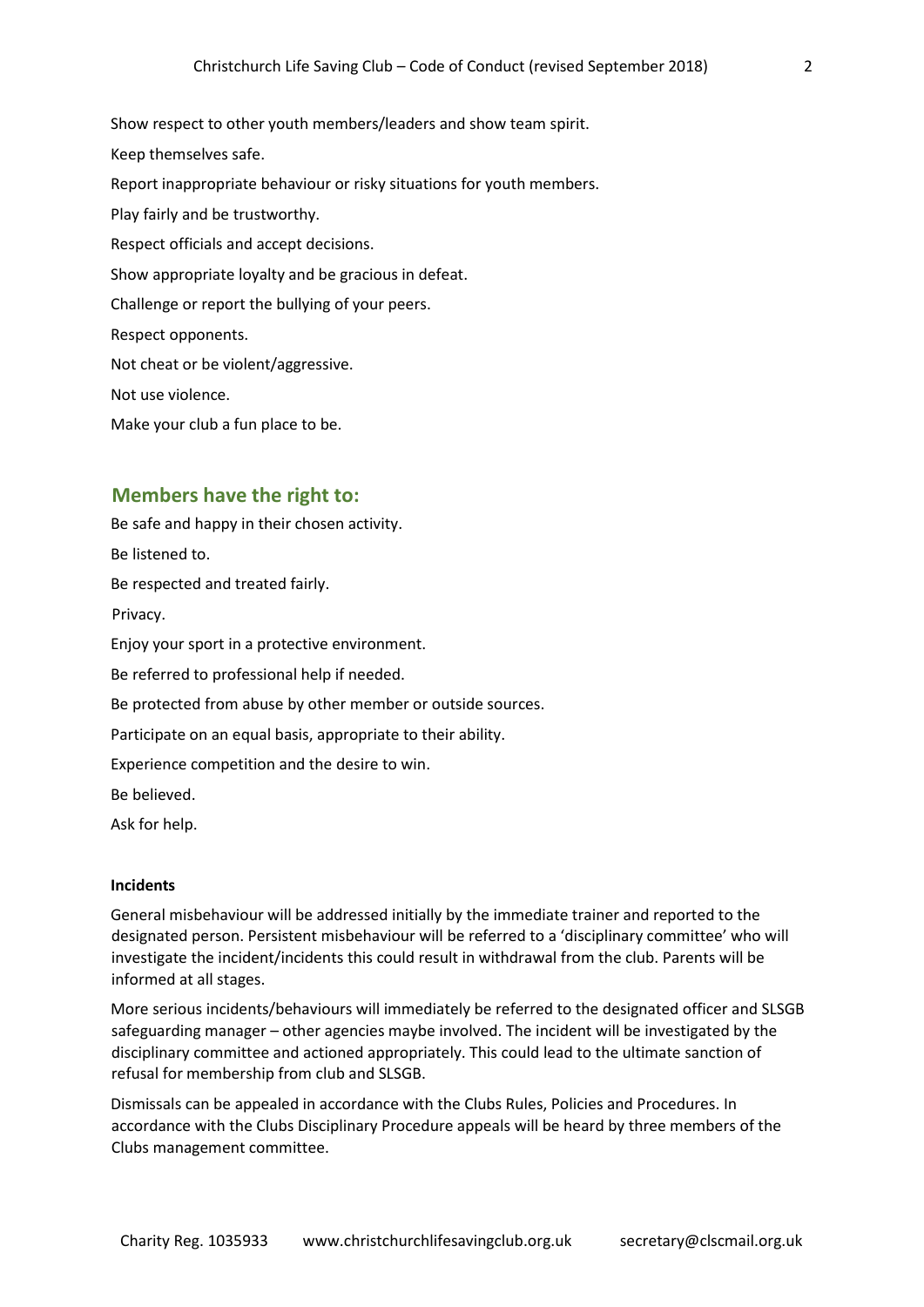Show respect to other youth members/leaders and show team spirit. Keep themselves safe. Report inappropriate behaviour or risky situations for youth members. Play fairly and be trustworthy. Respect officials and accept decisions. Show appropriate loyalty and be gracious in defeat. Challenge or report the bullying of your peers. Respect opponents. Not cheat or be violent/aggressive. Not use violence. Make your club a fun place to be.

## **Members have the right to:**

Be safe and happy in their chosen activity. Be listened to. Be respected and treated fairly. Privacy. Enjoy your sport in a protective environment. Be referred to professional help if needed. Be protected from abuse by other member or outside sources. Participate on an equal basis, appropriate to their ability. Experience competition and the desire to win. Be believed. Ask for help.

#### **Incidents**

General misbehaviour will be addressed initially by the immediate trainer and reported to the designated person. Persistent misbehaviour will be referred to a 'disciplinary committee' who will investigate the incident/incidents this could result in withdrawal from the club. Parents will be informed at all stages.

More serious incidents/behaviours will immediately be referred to the designated officer and SLSGB safeguarding manager – other agencies maybe involved. The incident will be investigated by the disciplinary committee and actioned appropriately. This could lead to the ultimate sanction of refusal for membership from club and SLSGB.

Dismissals can be appealed in accordance with the Clubs Rules, Policies and Procedures. In accordance with the Clubs Disciplinary Procedure appeals will be heard by three members of the Clubs management committee.